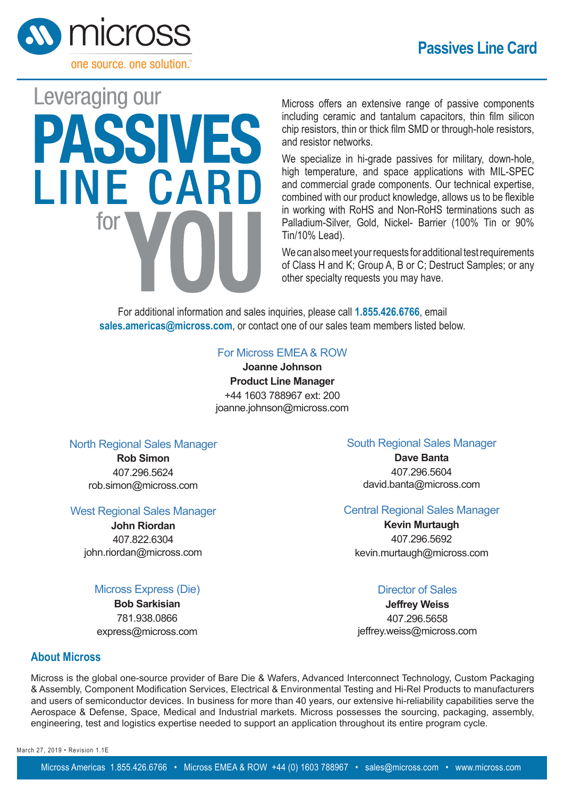

# Leveraging our PASSIVES **LINE CARD** tor

Micross offers an extensive range of passive components including ceramic and tantalum capacitors, thin film silicon chip resistors, thin or thick film SMD or through-hole resistors, and resistor networks.

We specialize in hi-grade passives for military, down-hole, high temperature, and space applications with MIL-SPEC and commercial grade components. Our technical expertise, combined with our product knowledge, allows us to be flexible in working with RoHS and Non-RoHS terminations such as Palladium-Silver, Gold, Nickel- Barrier (100% Tin or 90% Tin/10% Lead).

We can also meet your requests for additional test requirements of Class H and K; Group A, B or C; Destruct Samples; or any other specialty requests you may have.

For additional information and sales inquiries, please call **1.855.426.6766**, email **sales.americas@micross.com**, or contact one of our sales team members listed below.

## For Micross EMEA & ROW

**Joanne Johnson Product Line Manager** +44 1603 788967 ext: 200 joanne.johnson@micross.com

## North Regional Sales Manager

**Rob Simon** 407.296.5624 rob.simon@micross.com

## West Regional Sales Manager

**John Riordan** 407.822.6304 john.riordan@micross.com

Micross Express (Die) **Bob Sarkisian** 781.938.0866 express@micross.com

## South Regional Sales Manager

**Dave Banta** 407.296.5604 david.banta@micross.com

# Central Regional Sales Manager

**Kevin Murtaugh** 407.296.5692 kevin.murtaugh@micross.com

# Director of Sales

**Jeffrey Weiss** 407.296.5658 ieffrey.weiss@micross.com

## **About Micross**

Micross is the global one-source provider of Bare Die & Wafers, Advanced Interconnect Technology, Custom Packaging & Assembly, Component Modification Services, Electrical & Environmental Testing and Hi-Rel Products to manufacturers and users of semiconductor devices. In business for more than 40 years, our extensive hi-reliability capabilities serve the Aerospace & Defense, Space, Medical and Industrial markets. Micross possesses the sourcing, packaging, assembly, engineering, test and logistics expertise needed to support an application throughout its entire program cycle.